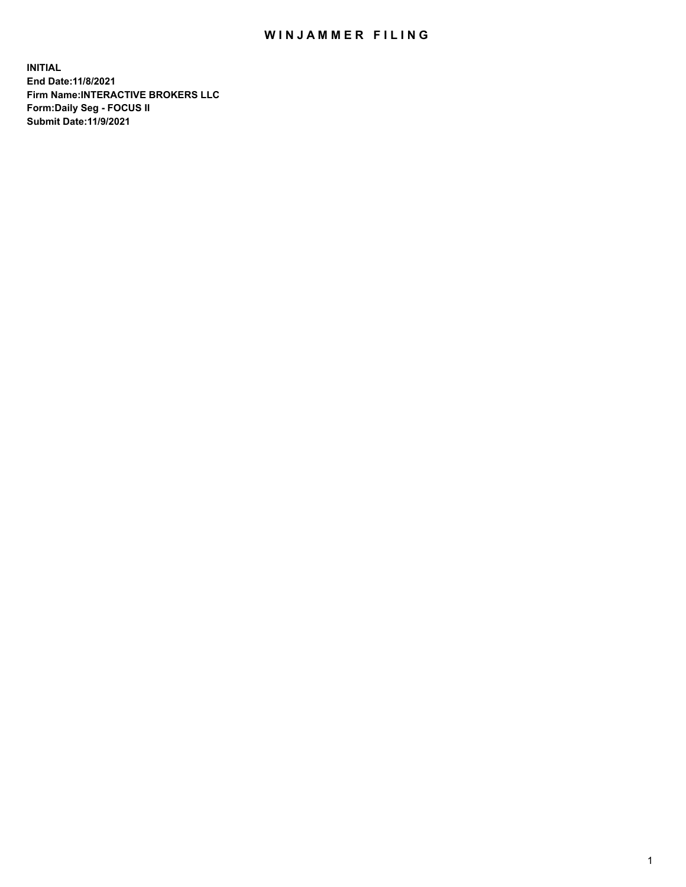## WIN JAMMER FILING

**INITIAL End Date:11/8/2021 Firm Name:INTERACTIVE BROKERS LLC Form:Daily Seg - FOCUS II Submit Date:11/9/2021**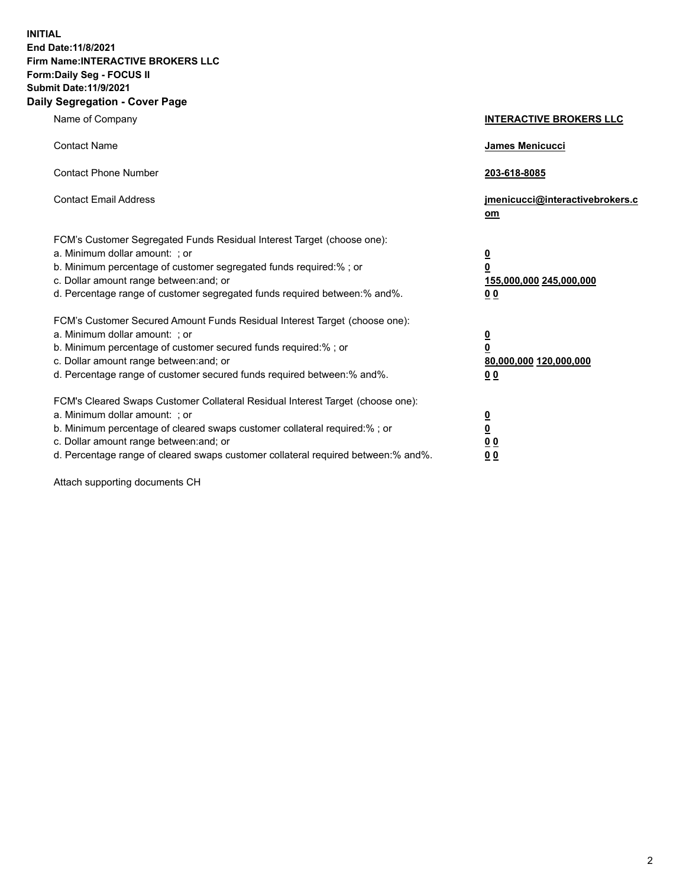**INITIAL End Date:11/8/2021 Firm Name:INTERACTIVE BROKERS LLC Form:Daily Seg - FOCUS II Submit Date:11/9/2021 Daily Segregation - Cover Page**

| Name of Company                                                                                                                                                                                                                                                                                                                | <b>INTERACTIVE BROKERS LLC</b>                                                                  |
|--------------------------------------------------------------------------------------------------------------------------------------------------------------------------------------------------------------------------------------------------------------------------------------------------------------------------------|-------------------------------------------------------------------------------------------------|
| <b>Contact Name</b>                                                                                                                                                                                                                                                                                                            | James Menicucci                                                                                 |
| <b>Contact Phone Number</b>                                                                                                                                                                                                                                                                                                    | 203-618-8085                                                                                    |
| <b>Contact Email Address</b>                                                                                                                                                                                                                                                                                                   | jmenicucci@interactivebrokers.c<br>$om$                                                         |
| FCM's Customer Segregated Funds Residual Interest Target (choose one):<br>a. Minimum dollar amount: ; or<br>b. Minimum percentage of customer segregated funds required:% ; or<br>c. Dollar amount range between: and; or<br>d. Percentage range of customer segregated funds required between:% and%.                         | $\overline{\mathbf{0}}$<br>$\overline{\mathbf{0}}$<br>155,000,000 245,000,000<br>0 <sub>0</sub> |
| FCM's Customer Secured Amount Funds Residual Interest Target (choose one):<br>a. Minimum dollar amount: ; or<br>b. Minimum percentage of customer secured funds required:%; or<br>c. Dollar amount range between: and; or<br>d. Percentage range of customer secured funds required between:% and%.                            | $\overline{\mathbf{0}}$<br>$\overline{\mathbf{0}}$<br>80,000,000 120,000,000<br>0 <sub>0</sub>  |
| FCM's Cleared Swaps Customer Collateral Residual Interest Target (choose one):<br>a. Minimum dollar amount: ; or<br>b. Minimum percentage of cleared swaps customer collateral required:% ; or<br>c. Dollar amount range between: and; or<br>d. Percentage range of cleared swaps customer collateral required between:% and%. | $\overline{\mathbf{0}}$<br><u>0</u><br>0 <sub>0</sub><br>0 <sub>0</sub>                         |

Attach supporting documents CH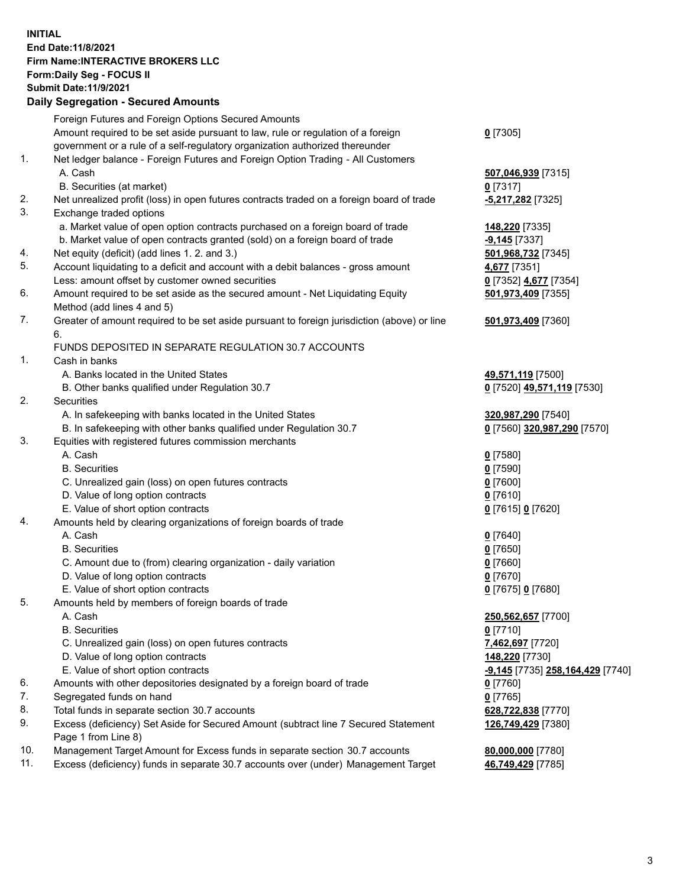## **INITIAL End Date:11/8/2021 Firm Name:INTERACTIVE BROKERS LLC Form:Daily Seg - FOCUS II Submit Date:11/9/2021 Daily Segregation - Secured Amounts**

|            | Dany Segregation - Secured Amounts                                                          |                                         |
|------------|---------------------------------------------------------------------------------------------|-----------------------------------------|
|            | Foreign Futures and Foreign Options Secured Amounts                                         |                                         |
|            | Amount required to be set aside pursuant to law, rule or regulation of a foreign            | $0$ [7305]                              |
|            | government or a rule of a self-regulatory organization authorized thereunder                |                                         |
| 1.         | Net ledger balance - Foreign Futures and Foreign Option Trading - All Customers             |                                         |
|            | A. Cash                                                                                     | 507,046,939 [7315]                      |
|            | B. Securities (at market)                                                                   | $0$ [7317]                              |
| 2.         | Net unrealized profit (loss) in open futures contracts traded on a foreign board of trade   | -5,217,282 <sup>[7325]</sup>            |
| 3.         | Exchange traded options                                                                     |                                         |
|            | a. Market value of open option contracts purchased on a foreign board of trade              | 148,220 [7335]                          |
|            | b. Market value of open contracts granted (sold) on a foreign board of trade                | $-9,145$ [7337]                         |
| 4.         | Net equity (deficit) (add lines 1. 2. and 3.)                                               | 501,968,732 [7345]                      |
| 5.         | Account liquidating to a deficit and account with a debit balances - gross amount           | 4,677 [7351]                            |
|            | Less: amount offset by customer owned securities                                            | 0 [7352] 4,677 [7354]                   |
| 6.         | Amount required to be set aside as the secured amount - Net Liquidating Equity              | 501,973,409 [7355]                      |
|            | Method (add lines 4 and 5)                                                                  |                                         |
| 7.         | Greater of amount required to be set aside pursuant to foreign jurisdiction (above) or line | 501,973,409 [7360]                      |
|            | 6.                                                                                          |                                         |
|            | FUNDS DEPOSITED IN SEPARATE REGULATION 30.7 ACCOUNTS                                        |                                         |
| 1.         | Cash in banks                                                                               |                                         |
|            | A. Banks located in the United States                                                       | 49,571,119 [7500]                       |
|            | B. Other banks qualified under Regulation 30.7                                              | 0 [7520] 49,571,119 [7530]              |
| 2.         | <b>Securities</b>                                                                           |                                         |
|            | A. In safekeeping with banks located in the United States                                   | 320,987,290 [7540]                      |
|            | B. In safekeeping with other banks qualified under Regulation 30.7                          | 0 [7560] 320,987,290 [7570]             |
| 3.         | Equities with registered futures commission merchants                                       |                                         |
|            | A. Cash                                                                                     | $0$ [7580]                              |
|            | <b>B.</b> Securities                                                                        | $0$ [7590]                              |
|            | C. Unrealized gain (loss) on open futures contracts                                         | $0$ [7600]                              |
|            | D. Value of long option contracts                                                           | $0$ [7610]                              |
|            | E. Value of short option contracts                                                          | 0 [7615] 0 [7620]                       |
| 4.         | Amounts held by clearing organizations of foreign boards of trade                           |                                         |
|            | A. Cash                                                                                     | $0$ [7640]                              |
|            | <b>B.</b> Securities                                                                        | $0$ [7650]                              |
|            | C. Amount due to (from) clearing organization - daily variation                             | $0$ [7660]                              |
|            | D. Value of long option contracts                                                           | $0$ [7670]                              |
|            | E. Value of short option contracts                                                          | 0 [7675] 0 [7680]                       |
| 5.         | Amounts held by members of foreign boards of trade                                          |                                         |
|            | A. Cash                                                                                     | 250,562,657 [7700]                      |
|            | <b>B.</b> Securities                                                                        | $0$ [7710]                              |
|            | C. Unrealized gain (loss) on open futures contracts                                         | 7,462,697 [7720]                        |
|            | D. Value of long option contracts                                                           | 148,220 [7730]                          |
|            | E. Value of short option contracts                                                          | <u>-9,145</u> [7735] 258,164,429 [7740] |
| 6.         | Amounts with other depositories designated by a foreign board of trade                      | $0$ [7760]                              |
| 7.         | Segregated funds on hand                                                                    | $0$ [7765]                              |
| 8.         | Total funds in separate section 30.7 accounts                                               | 628,722,838 [7770]                      |
| 9.         | Excess (deficiency) Set Aside for Secured Amount (subtract line 7 Secured Statement         | 126,749,429 [7380]                      |
|            | Page 1 from Line 8)                                                                         |                                         |
| 10.<br>11. | Management Target Amount for Excess funds in separate section 30.7 accounts                 | 80,000,000 [7780]                       |
|            | Excess (deficiency) funds in separate 30.7 accounts over (under) Management Target          | 46,749,429 [7785]                       |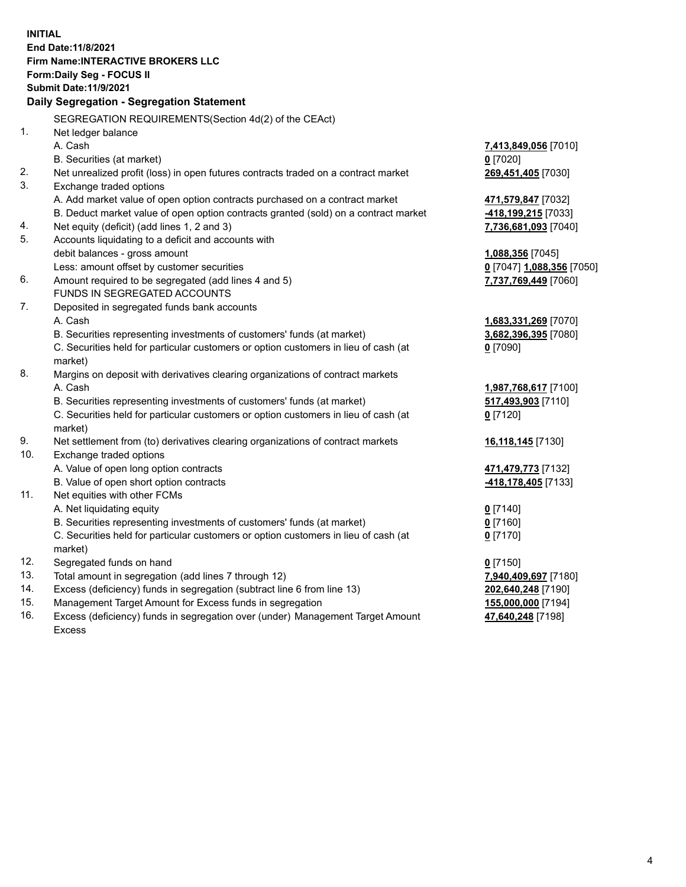**INITIAL End Date:11/8/2021 Firm Name:INTERACTIVE BROKERS LLC Form:Daily Seg - FOCUS II Submit Date:11/9/2021 Daily Segregation - Segregation Statement** SEGREGATION REQUIREMENTS(Section 4d(2) of the CEAct) 1. Net ledger balance A. Cash **7,413,849,056** [7010] B. Securities (at market) **0** [7020] 2. Net unrealized profit (loss) in open futures contracts traded on a contract market **269,451,405** [7030] 3. Exchange traded options A. Add market value of open option contracts purchased on a contract market **471,579,847** [7032] B. Deduct market value of open option contracts granted (sold) on a contract market **-418,199,215** [7033] 4. Net equity (deficit) (add lines 1, 2 and 3) **7,736,681,093** [7040] 5. Accounts liquidating to a deficit and accounts with debit balances - gross amount **1,088,356** [7045] Less: amount offset by customer securities **0** [7047] **1,088,356** [7050] 6. Amount required to be segregated (add lines 4 and 5) **7,737,769,449** [7060] FUNDS IN SEGREGATED ACCOUNTS 7. Deposited in segregated funds bank accounts A. Cash **1,683,331,269** [7070] B. Securities representing investments of customers' funds (at market) **3,682,396,395** [7080] C. Securities held for particular customers or option customers in lieu of cash (at market) **0** [7090] 8. Margins on deposit with derivatives clearing organizations of contract markets A. Cash **1,987,768,617** [7100] B. Securities representing investments of customers' funds (at market) **517,493,903** [7110] C. Securities held for particular customers or option customers in lieu of cash (at market) **0** [7120] 9. Net settlement from (to) derivatives clearing organizations of contract markets **16,118,145** [7130] 10. Exchange traded options A. Value of open long option contracts **471,479,773** [7132] B. Value of open short option contracts **-418,178,405** [7133] 11. Net equities with other FCMs A. Net liquidating equity **0** [7140] B. Securities representing investments of customers' funds (at market) **0** [7160] C. Securities held for particular customers or option customers in lieu of cash (at market) **0** [7170] 12. Segregated funds on hand **0** [7150] 13. Total amount in segregation (add lines 7 through 12) **7,940,409,697** [7180] 14. Excess (deficiency) funds in segregation (subtract line 6 from line 13) **202,640,248** [7190] 15. Management Target Amount for Excess funds in segregation **155,000,000** [7194] 16. Excess (deficiency) funds in segregation over (under) Management Target Amount **47,640,248** [7198]

Excess